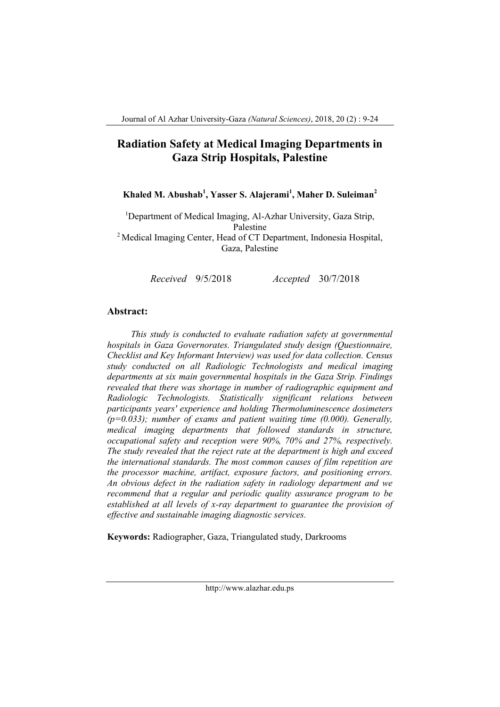# **Radiation Safety at Medical Imaging Departments in Gaza Strip Hospitals, Palestine**

# **Khaled M. Abushab<sup>1</sup> , Yasser S. Alajerami<sup>1</sup> , Maher D. Suleiman<sup>2</sup>**

<sup>1</sup>Department of Medical Imaging, Al-Azhar University, Gaza Strip, Palestine <sup>2</sup> Medical Imaging Center, Head of CT Department, Indonesia Hospital, Gaza, Palestine

*Received* 9/5/2018 *Accepted* 30/7/2018

#### **Abstract:**

*This study is conducted to evaluate radiation safety at governmental hospitals in Gaza Governorates. Triangulated study design (Questionnaire, Checklist and Key Informant Interview) was used for data collection. Census study conducted on all Radiologic Technologists and medical imaging departments at six main governmental hospitals in the Gaza Strip. Findings revealed that there was shortage in number of radiographic equipment and Radiologic Technologists. Statistically significant relations between participants years' experience and holding Thermoluminescence dosimeters (p=0.033); number of exams and patient waiting time (0.000). Generally, medical imaging departments that followed standards in structure, occupational safety and reception were 90%, 70% and 27%, respectively. The study revealed that the reject rate at the department is high and exceed the international standards. The most common causes of film repetition are the processor machine, artifact, exposure factors, and positioning errors. An obvious defect in the radiation safety in radiology department and we recommend that a regular and periodic quality assurance program to be established at all levels of x-ray department to guarantee the provision of effective and sustainable imaging diagnostic services.*

**Keywords:** Radiographer, Gaza, Triangulated study, Darkrooms

http://www.alazhar.edu.ps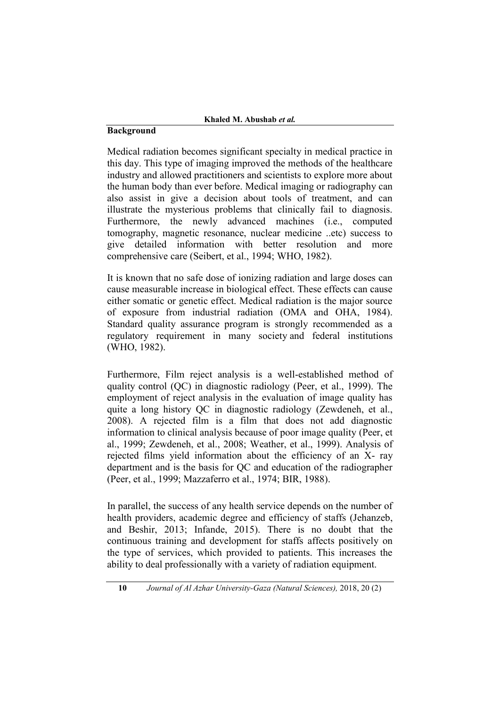## **Background**

Medical radiation becomes significant specialty in medical practice in this day. This type of imaging improved the methods of the healthcare industry and allowed practitioners and scientists to explore more about the human body than ever before. Medical imaging or radiography can also assist in give a decision about tools of treatment, and can illustrate the mysterious problems that clinically fail to diagnosis. Furthermore, the newly advanced machines (i.e., computed tomography, magnetic resonance, nuclear medicine ..etc) success to give detailed information with better resolution and more comprehensive care (Seibert, et al., 1994; WHO, 1982).

It is known that no safe dose of ionizing radiation and large doses can cause measurable increase in biological effect. These effects can cause either somatic or genetic effect. Medical radiation is the major source of exposure from industrial radiation (OMA and OHA, 1984). Standard quality assurance program is strongly recommended as a regulatory requirement in many society and federal institutions (WHO, 1982).

Furthermore, Film reject analysis is a well-established method of quality control (QC) in diagnostic radiology (Peer, et al., 1999). The employment of reject analysis in the evaluation of image quality has quite a long history QC in diagnostic radiology (Zewdeneh, et al., 2008). A rejected film is a film that does not add diagnostic information to clinical analysis because of poor image quality (Peer, et al., 1999; Zewdeneh, et al., 2008; Weather, et al., 1999). Analysis of rejected films yield information about the efficiency of an X- ray department and is the basis for QC and education of the radiographer (Peer, et al., 1999; Mazzaferro et al., 1974; BIR, 1988).

In parallel, the success of any health service depends on the number of health providers, academic degree and efficiency of staffs (Jehanzeb, and Beshir, 2013; Infande, 2015). There is no doubt that the continuous training and development for staffs affects positively on the type of services, which provided to patients. This increases the ability to deal professionally with a variety of radiation equipment.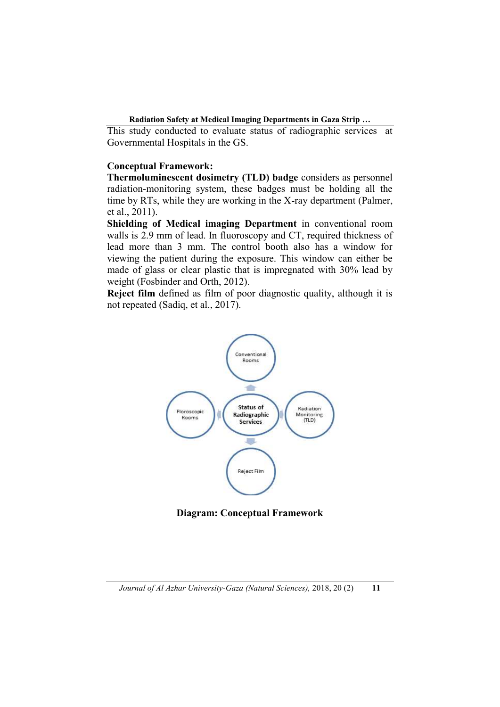This study conducted to evaluate status of radiographic services at Governmental Hospitals in the GS.

### **Conceptual Framework:**

**Thermoluminescent dosimetry (TLD) badge** considers as personnel radiation-monitoring system, these badges must be holding all the time by RTs, while they are working in the X-ray department (Palmer, et al., 2011).

**Shielding of Medical imaging Department** in conventional room walls is 2.9 mm of lead. In fluoroscopy and CT, required thickness of lead more than 3 mm. The control booth also has a window for viewing the patient during the exposure. This window can either be made of glass or clear plastic that is impregnated with 30% lead by weight (Fosbinder and Orth, 2012).

**Reject film** defined as film of poor diagnostic quality, although it is not repeated (Sadiq, et al., 2017).



**Diagram: Conceptual Framework**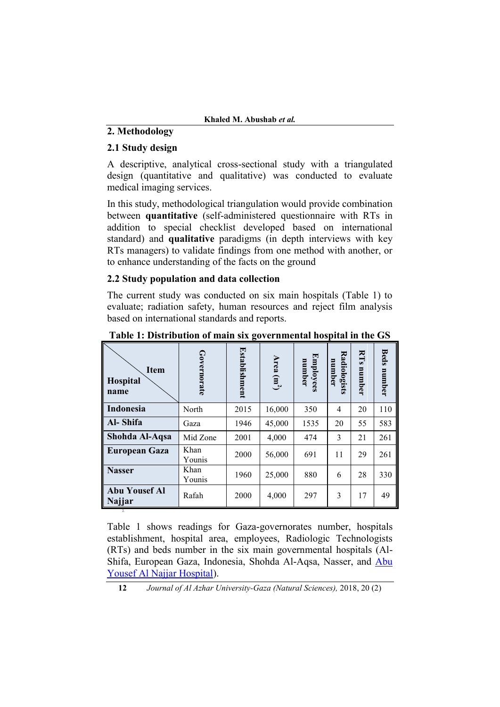# **2. Methodology**

## **2.1 Study design**

A descriptive, analytical cross-sectional study with a triangulated design (quantitative and qualitative) was conducted to evaluate medical imaging services.

In this study, methodological triangulation would provide combination between **quantitative** (self-administered questionnaire with RTs in addition to special checklist developed based on international standard) and **qualitative** paradigms (in depth interviews with key RTs managers) to validate findings from one method with another, or to enhance understanding of the facts on the ground

## **2.2 Study population and data collection**

The current study was conducted on six main hospitals (Table 1) to evaluate; radiation safety, human resources and reject film analysis based on international standards and reports.

| I<br><b>Item</b><br><b>Hospital</b><br>name | Governorate    | Establishment | Area $(m^2)$ | <b>Employees</b><br>number | Radiologists<br>number | RTS<br>number | <b>Beds</b><br>number |
|---------------------------------------------|----------------|---------------|--------------|----------------------------|------------------------|---------------|-----------------------|
| Indonesia                                   | North          | 2015          | 16,000       | 350                        | 4                      | 20            | 110                   |
| Al-Shifa                                    | Gaza           | 1946          | 45,000       | 1535                       | 20                     | 55            | 583                   |
| Shohda Al-Aqsa                              | Mid Zone       | 2001          | 4,000        | 474                        | 3                      | 21            | 261                   |
| <b>European Gaza</b>                        | Khan<br>Younis | 2000          | 56,000       | 691                        | 11                     | 29            | 261                   |
| <b>Nasser</b>                               | Khan<br>Younis | 1960          | 25,000       | 880                        | 6                      | 28            | 330                   |
| <b>Abu Yousef Al</b><br>Najjar              | Rafah          | 2000          | 4,000        | 297                        | 3                      | 17            | 49                    |

**Table 1: Distribution of main six governmental hospital in the GS**

Table 1 shows readings for Gaza-governorates number, hospitals establishment, hospital area, employees, Radiologic Technologists (RTs) and beds number in the six main governmental hospitals (Al-Shifa, European Gaza, Indonesia, Shohda Al-Aqsa, Nasser, and [Abu](https://en.wikipedia.org/wiki/Abu_Yousef_Al_Najjar_Hospital)  [Yousef Al Najjar Hospital\)](https://en.wikipedia.org/wiki/Abu_Yousef_Al_Najjar_Hospital).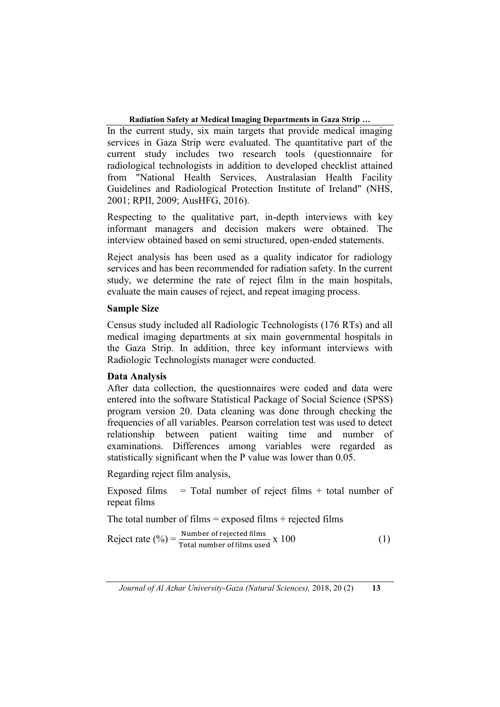In the current study, six main targets that provide medical imaging services in Gaza Strip were evaluated. The quantitative part of the current study includes two research tools (questionnaire for radiological technologists in addition to developed checklist attained from "National Health Services, Australasian Health Facility Guidelines and Radiological Protection Institute of Ireland" (NHS, 2001; RPII, 2009; AusHFG, 2016).

Respecting to the qualitative part, in-depth interviews with key informant managers and decision makers were obtained. The interview obtained based on semi structured, open-ended statements.

Reject analysis has been used as a quality indicator for radiology services and has been recommended for radiation safety. In the current study, we determine the rate of reject film in the main hospitals, evaluate the main causes of reject, and repeat imaging process.

# **Sample Size**

Census study included all Radiologic Technologists (176 RTs) and all medical imaging departments at six main governmental hospitals in the Gaza Strip. In addition, three key informant interviews with Radiologic Technologists manager were conducted.

# **Data Analysis**

After data collection, the questionnaires were coded and data were entered into the software Statistical Package of Social Science (SPSS) program version 20. Data cleaning was done through checking the frequencies of all variables. Pearson correlation test was used to detect relationship between patient waiting time and number of examinations. Differences among variables were regarded as statistically significant when the P value was lower than 0.05.

Regarding reject film analysis,

Exposed films  $=$  Total number of reject films  $+$  total number of repeat films

The total number of films  $=$  exposed films  $+$  rejected films

$$
Reject rate (%) = \frac{Number of rejected films}{Total number of films used} \times 100
$$
 (1)

*Journal of Al Azhar University-Gaza (Natural Sciences),* 2018, 20 (2) **13**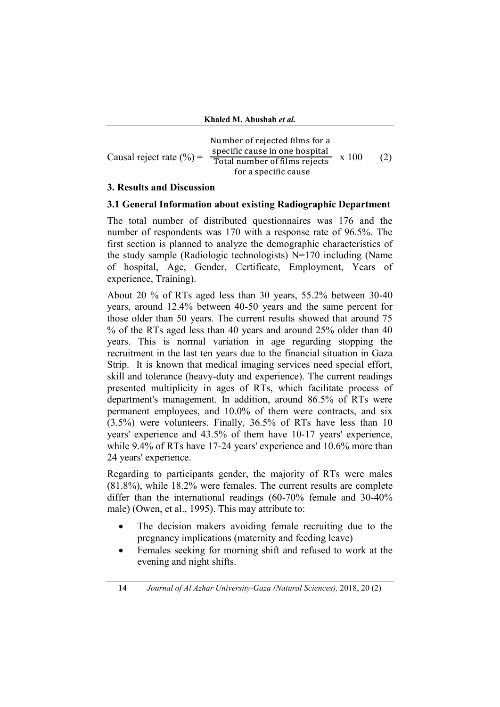|                              | Number of rejected films for a |       |     |
|------------------------------|--------------------------------|-------|-----|
|                              | specific cause in one hospital | x 100 |     |
| Causal reject rate $(\% )$ = | Total number of films rejects  |       | (2) |
|                              | for a specific cause           |       |     |

### **3. Results and Discussion**

#### **3.1 General Information about existing Radiographic Department**

The total number of distributed questionnaires was 176 and the number of respondents was 170 with a response rate of 96.5%. The first section is planned to analyze the demographic characteristics of the study sample (Radiologic technologists) N=170 including (Name of hospital, Age, Gender, Certificate, Employment, Years of experience, Training).

About 20 % of RTs aged less than 30 years, 55.2% between 30-40 years, around 12.4% between 40-50 years and the same percent for those older than 50 years. The current results showed that around 75 % of the RTs aged less than 40 years and around 25% older than 40 years. This is normal variation in age regarding stopping the recruitment in the last ten years due to the financial situation in Gaza Strip. It is known that medical imaging services need special effort, skill and tolerance (heavy-duty and experience). The current readings presented multiplicity in ages of RTs, which facilitate process of department's management. In addition, around 86.5% of RTs were permanent employees, and 10.0% of them were contracts, and six (3.5%) were volunteers. Finally, 36.5% of RTs have less than 10 years' experience and 43.5% of them have 10-17 years' experience, while 9.4% of RTs have 17-24 years' experience and 10.6% more than 24 years' experience.

Regarding to participants gender, the majority of RTs were males (81.8%), while 18.2% were females. The current results are complete differ than the international readings (60-70% female and 30-40% male) (Owen, et al., 1995). This may attribute to:

- The decision makers avoiding female recruiting due to the pregnancy implications (maternity and feeding leave)
- Females seeking for morning shift and refused to work at the evening and night shifts.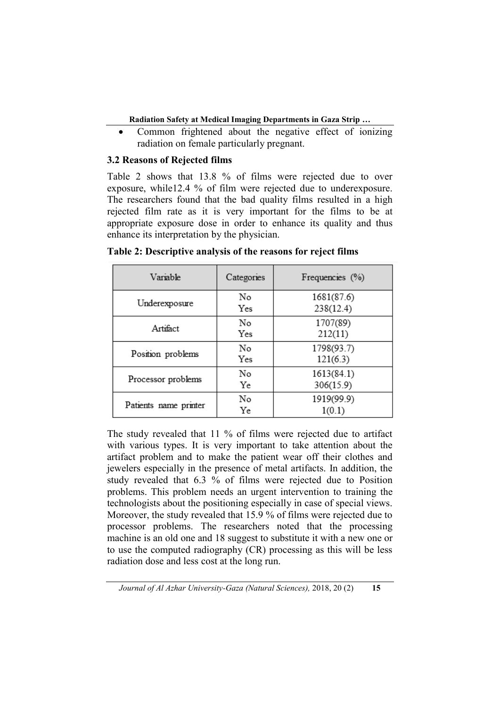Common frightened about the negative effect of ionizing radiation on female particularly pregnant.

# **3.2 Reasons of Rejected films**

Table 2 shows that 13.8 % of films were rejected due to over exposure, while12.4 % of film were rejected due to underexposure. The researchers found that the bad quality films resulted in a high rejected film rate as it is very important for the films to be at appropriate exposure dose in order to enhance its quality and thus enhance its interpretation by the physician.

| Variable              | Categories | Frequencies (%)         |  |  |  |
|-----------------------|------------|-------------------------|--|--|--|
| Underexposure         | No<br>Yes  | 1681(87.6)<br>238(12.4) |  |  |  |
| Artifact              | No<br>Yes  | 1707(89)<br>212(11)     |  |  |  |
| Position problems     | No<br>Yes  | 1798(93.7)<br>121(6.3)  |  |  |  |
| Processor problems    | No<br>Ye   | 1613(84.1)<br>306(15.9) |  |  |  |
| Patients name printer | No<br>Ye   | 1919(99.9)<br>1(0.1)    |  |  |  |

**Table 2: Descriptive analysis of the reasons for reject films**

The study revealed that 11 % of films were rejected due to artifact with various types. It is very important to take attention about the artifact problem and to make the patient wear off their clothes and jewelers especially in the presence of metal artifacts. In addition, the study revealed that 6.3 % of films were rejected due to Position problems. This problem needs an urgent intervention to training the technologists about the positioning especially in case of special views. Moreover, the study revealed that 15.9 % of films were rejected due to processor problems. The researchers noted that the processing machine is an old one and 18 suggest to substitute it with a new one or to use the computed radiography (CR) processing as this will be less radiation dose and less cost at the long run.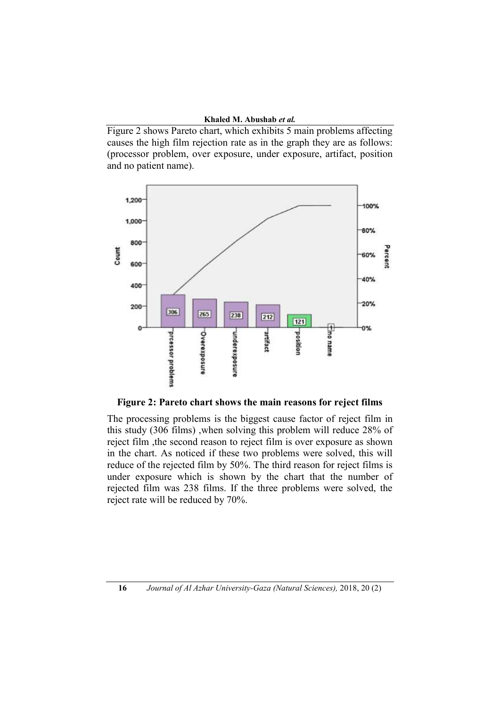Figure 2 shows Pareto chart, which exhibits 5 main problems affecting causes the high film rejection rate as in the graph they are as follows: (processor problem, over exposure, under exposure, artifact, position and no patient name).



**Figure 2: Pareto chart shows the main reasons for reject films**

The processing problems is the biggest cause factor of reject film in this study (306 films) ,when solving this problem will reduce 28% of reject film ,the second reason to reject film is over exposure as shown in the chart. As noticed if these two problems were solved, this will reduce of the rejected film by 50%. The third reason for reject films is under exposure which is shown by the chart that the number of rejected film was 238 films. If the three problems were solved, the reject rate will be reduced by 70%.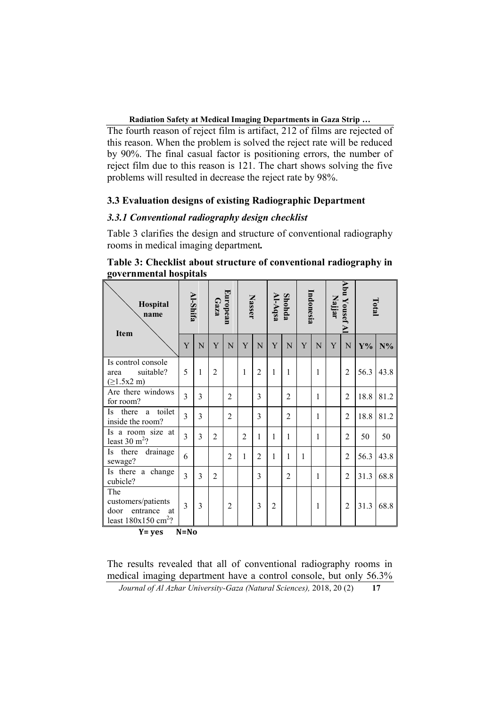The fourth reason of reject film is artifact, 212 of films are rejected of this reason. When the problem is solved the reject rate will be reduced by 90%. The final casual factor is positioning errors, the number of reject film due to this reason is 121. The chart shows solving the five problems will resulted in decrease the reject rate by 98%.

#### **3.3 Evaluation designs of existing Radiographic Department**

# *3.3.1 Conventional radiography design checklist*

Table 3 clarifies the design and structure of conventional radiography rooms in medical imaging department*.*

| Hospital<br>name<br><b>Item</b>                                                                       |                             | Al-Shifa |                | European<br>Gaza |                | <b>Nasser</b>  |                | Al-Aqsa<br>Shohda |              | Indonesia    |   | Abu Yousef A<br>Najjar |       | Total |  |
|-------------------------------------------------------------------------------------------------------|-----------------------------|----------|----------------|------------------|----------------|----------------|----------------|-------------------|--------------|--------------|---|------------------------|-------|-------|--|
|                                                                                                       | Y                           | N        | Y              | N                | Y              | N              | Y              | N                 | Y            | N            | Y | N                      | $Y\%$ | $N\%$ |  |
| Is control console<br>suitable?<br>area<br>(≥1.5x2 m)                                                 | 5                           | 1        | $\overline{2}$ |                  | 1              | $\overline{2}$ | 1              | 1                 |              | 1            |   | $\overline{2}$         | 56.3  | 43.8  |  |
| Are there windows<br>for room?                                                                        | 3                           | 3        |                | $\overline{2}$   |                | 3              |                | $\overline{2}$    |              | 1            |   | $\overline{2}$         | 18.8  | 81.2  |  |
| toilet<br>there<br>Is.<br>a<br>inside the room?                                                       | 3                           | 3        |                | $\overline{2}$   |                | 3              |                | $\overline{2}$    |              | 1            |   | $\overline{2}$         | 18.8  | 81.2  |  |
| Is a room size at<br>least $30 \text{ m}^2$ ?                                                         | 3                           | 3        | $\overline{2}$ |                  | $\overline{2}$ | 1              | 1              | 1                 |              | 1            |   | $\overline{2}$         | 50    | 50    |  |
| drainage<br>there<br>Is<br>sewage?                                                                    | 6                           |          |                | $\overline{2}$   | 1              | $\overline{2}$ | 1              | 1                 | $\mathbf{1}$ |              |   | $\overline{2}$         | 56.3  | 43.8  |  |
| Is there a change<br>cubicle?                                                                         | 3                           | 3        | $\overline{2}$ |                  |                | 3              |                | $\overline{2}$    |              | 1            |   | $\overline{2}$         | 31.3  | 68.8  |  |
| The<br>customers/patients<br>entrance<br>door<br>at<br>least $180x150$ cm <sup>2</sup> ?<br><b>TT</b> | 3<br><b>BT</b><br><b>BT</b> | 3        |                | $\overline{c}$   |                | 3              | $\overline{2}$ |                   |              | $\mathbf{1}$ |   | $\overline{c}$         | 31.3  | 68.8  |  |

# **Table 3: Checklist about structure of conventional radiography in governmental hospitals**

 $Y = yes$   $N = No$ 

The results revealed that all of conventional radiography rooms in medical imaging department have a control console, but only 56.3%

*Journal of Al Azhar University-Gaza (Natural Sciences),* 2018, 20 (2) **17**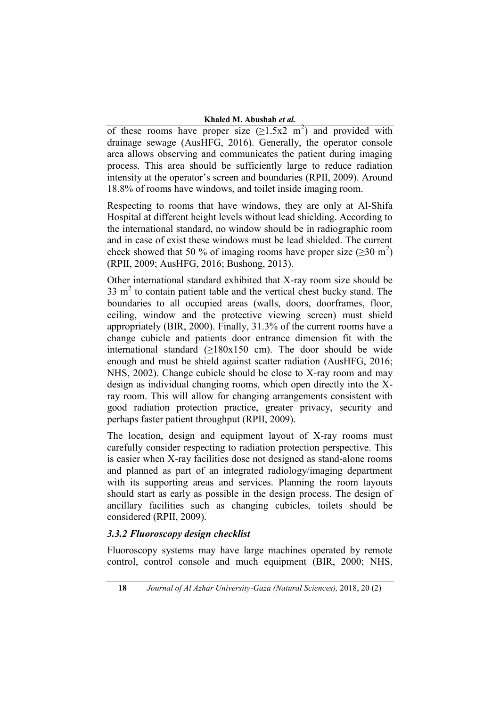of these rooms have proper size  $(\geq 1.5x2 \text{ m}^2)$  and provided with drainage sewage (AusHFG, 2016). Generally, the operator console area allows observing and communicates the patient during imaging process. This area should be sufficiently large to reduce radiation intensity at the operator's screen and boundaries (RPII, 2009). Around 18.8% of rooms have windows, and toilet inside imaging room.

Respecting to rooms that have windows, they are only at Al-Shifa Hospital at different height levels without lead shielding. According to the international standard, no window should be in radiographic room and in case of exist these windows must be lead shielded. The current check showed that 50 % of imaging rooms have proper size  $(\geq 30 \text{ m}^2)$ (RPII, 2009; AusHFG, 2016; Bushong, 2013).

Other international standard exhibited that X-ray room size should be  $33 \text{ m}^2$  to contain patient table and the vertical chest bucky stand. The boundaries to all occupied areas (walls, doors, doorframes, floor, ceiling, window and the protective viewing screen) must shield appropriately (BIR, 2000). Finally, 31.3% of the current rooms have a change cubicle and patients door entrance dimension fit with the international standard  $(≥180x150$  cm). The door should be wide enough and must be shield against scatter radiation (AusHFG, 2016; NHS, 2002). Change cubicle should be close to X-ray room and may design as individual changing rooms, which open directly into the Xray room. This will allow for changing arrangements consistent with good radiation protection practice, greater privacy, security and perhaps faster patient throughput (RPII, 2009).

The location, design and equipment layout of X-ray rooms must carefully consider respecting to radiation protection perspective. This is easier when X-ray facilities dose not designed as stand-alone rooms and planned as part of an integrated radiology/imaging department with its supporting areas and services. Planning the room layouts should start as early as possible in the design process. The design of ancillary facilities such as changing cubicles, toilets should be considered (RPII, 2009).

# *3.3.2 Fluoroscopy design checklist*

Fluoroscopy systems may have large machines operated by remote control, control console and much equipment (BIR, 2000; NHS,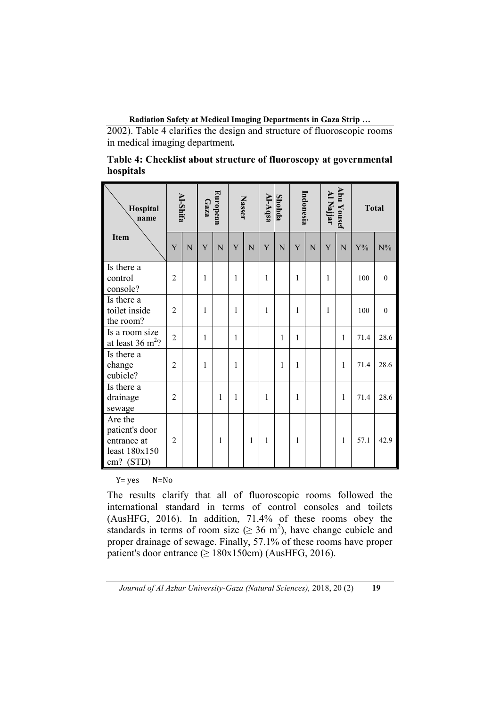2002). Table 4 clarifies the design and structure of fluoroscopic rooms in medical imaging department*.*

| Table 4: Checklist about structure of fluoroscopy at governmental |  |
|-------------------------------------------------------------------|--|
| hospitals                                                         |  |

| Hospital<br>name                                                       |                | <b>Al-Shifa</b> | Gaza         | European | <b>Nasser</b> |             | al-Aqsa      | <b>Shohda</b> | Indonesia    |   | Al Najjar | Abu Yousef | <b>Total</b> |                  |
|------------------------------------------------------------------------|----------------|-----------------|--------------|----------|---------------|-------------|--------------|---------------|--------------|---|-----------|------------|--------------|------------------|
| <b>Item</b>                                                            | Y              | N               | Y            | N        | Y             | $\mathbf N$ | Y            | N             | $\mathbf Y$  | N | Y         | N          | $Y\%$        | ${\rm N}\%$      |
| Is there a<br>control<br>console?                                      | $\overline{2}$ |                 | 1            |          | 1             |             | 1            |               | 1            |   | 1         |            | 100          | $\boldsymbol{0}$ |
| Is there a<br>toilet inside<br>the room?                               | $\overline{2}$ |                 | $\mathbf{1}$ |          | $\mathbf{1}$  |             | $\mathbf{1}$ |               | $\mathbf{1}$ |   | 1         |            | 100          | $\boldsymbol{0}$ |
| Is a room size<br>at least $36 \text{ m}^2$ ?                          | $\overline{2}$ |                 | 1            |          | 1             |             |              | 1             | 1            |   |           | 1          | 71.4         | 28.6             |
| Is there a<br>change<br>cubicle?                                       | $\overline{2}$ |                 | $\mathbf{1}$ |          | 1             |             |              | 1             | $\mathbf{1}$ |   |           | 1          | 71.4         | 28.6             |
| Is there a<br>drainage<br>sewage                                       | $\overline{2}$ |                 |              | 1        | 1             |             | 1            |               | 1            |   |           | 1          | 71.4         | 28.6             |
| Are the<br>patient's door<br>entrance at<br>least 180x150<br>cm? (STD) | $\overline{2}$ |                 |              | 1        |               | 1           | 1            |               | 1            |   |           | 1          | 57.1         | 42.9             |

Y= yes N=No

The results clarify that all of fluoroscopic rooms followed the international standard in terms of control consoles and toilets (AusHFG, 2016). In addition, 71.4% of these rooms obey the standards in terms of room size ( $\geq 36$  m<sup>2</sup>), have change cubicle and proper drainage of sewage. Finally, 57.1% of these rooms have proper patient's door entrance  $(≥ 180x150cm)$  (AusHFG, 2016).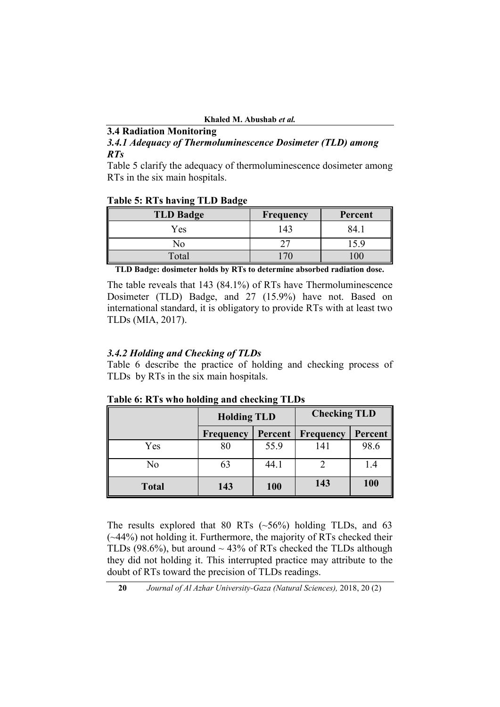## **3.4 Radiation Monitoring**

*3.4.1 Adequacy of Thermoluminescence Dosimeter (TLD) among RTs*

Table 5 clarify the adequacy of thermoluminescence dosimeter among RTs in the six main hospitals.

#### **Table 5: RTs having TLD Badge**

| <b>TLD Badge</b> | <b>Frequency</b> | Percent |
|------------------|------------------|---------|
| Yes              | 143              | 84      |
| NС               |                  |         |
| Total            |                  |         |

**TLD Badge: dosimeter holds by RTs to determine absorbed radiation dose.**

The table reveals that 143 (84.1%) of RTs have Thermoluminescence Dosimeter (TLD) Badge, and 27 (15.9%) have not. Based on international standard, it is obligatory to provide RTs with at least two TLDs (MIA, 2017).

# *3.4.2 Holding and Checking of TLDs*

Table 6 describe the practice of holding and checking process of TLDs by RTs in the six main hospitals.

| <b>LADIC 0. INTS WHO HORNING AND CHECKING TEDS</b> |                    |            |                     |         |  |  |  |  |  |
|----------------------------------------------------|--------------------|------------|---------------------|---------|--|--|--|--|--|
|                                                    | <b>Holding TLD</b> |            | <b>Checking TLD</b> |         |  |  |  |  |  |
|                                                    | Frequency          | Percent    | Frequency           | Percent |  |  |  |  |  |
| Yes                                                | 80                 | 55.9       | 141                 | 98.6    |  |  |  |  |  |
| No                                                 | 63                 | 44.1       |                     | I 4     |  |  |  |  |  |
| <b>Total</b>                                       | 143                | <b>100</b> | 143                 | 100     |  |  |  |  |  |

**Table 6: RTs who holding and checking TLDs**

The results explored that 80 RTs  $(\sim 56\%)$  holding TLDs, and 63  $(\sim$ 44%) not holding it. Furthermore, the majority of RTs checked their TLDs (98.6%), but around  $\sim$  43% of RTs checked the TLDs although they did not holding it. This interrupted practice may attribute to the doubt of RTs toward the precision of TLDs readings.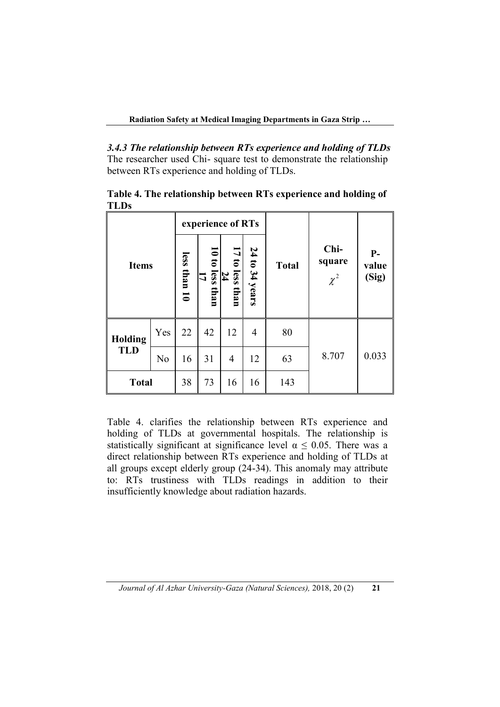*3.4.3 The relationship between RTs experience and holding of TLDs* The researcher used Chi- square test to demonstrate the relationship between RTs experience and holding of TLDs.

|                |                | experience of RTs |                                      |                                      |                |              |                            |                        |  |
|----------------|----------------|-------------------|--------------------------------------|--------------------------------------|----------------|--------------|----------------------------|------------------------|--|
| <b>Items</b>   |                | less<br>than 10   | $\frac{10 \text{ to less than}}{17}$ | 17 to less<br>$\frac{24}{1}$<br>than | 24 to 34 years | <b>Total</b> | Chi-<br>square<br>$\chi^2$ | $P-$<br>value<br>(Sig) |  |
| <b>Holding</b> | Yes            | 22                | 42                                   | 12                                   | 4              | 80           |                            |                        |  |
| <b>TLD</b>     | N <sub>0</sub> | 16                | 31                                   | 4                                    | 12             | 63           | 8.707                      | 0.033                  |  |
| <b>Total</b>   |                | 38                | 73                                   | 16                                   | 16             | 143          |                            |                        |  |

**Table 4. The relationship between RTs experience and holding of TLDs**

Table 4. clarifies the relationship between RTs experience and holding of TLDs at governmental hospitals. The relationship is statistically significant at significance level  $\alpha \leq 0.05$ . There was a direct relationship between RTs experience and holding of TLDs at all groups except elderly group (24-34). This anomaly may attribute to: RTs trustiness with TLDs readings in addition to their insufficiently knowledge about radiation hazards.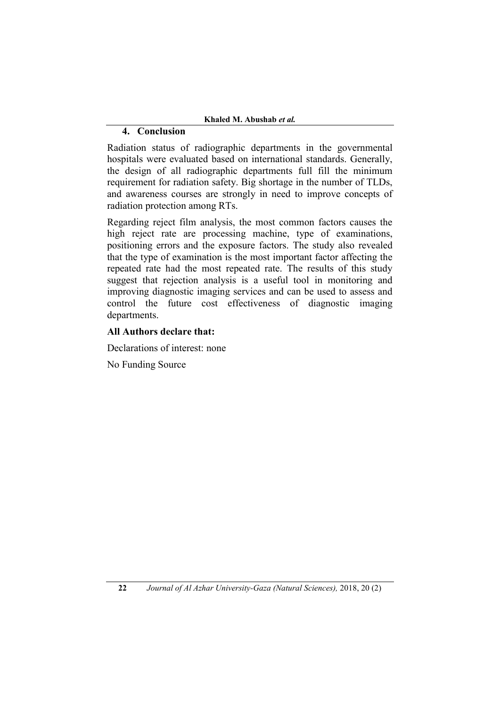# **4. Conclusion**

Radiation status of radiographic departments in the governmental hospitals were evaluated based on international standards. Generally, the design of all radiographic departments full fill the minimum requirement for radiation safety. Big shortage in the number of TLDs, and awareness courses are strongly in need to improve concepts of radiation protection among RTs.

Regarding reject film analysis, the most common factors causes the high reject rate are processing machine, type of examinations, positioning errors and the exposure factors. The study also revealed that the type of examination is the most important factor affecting the repeated rate had the most repeated rate. The results of this study suggest that rejection analysis is a useful tool in monitoring and improving diagnostic imaging services and can be used to assess and control the future cost effectiveness of diagnostic imaging departments.

# **All Authors declare that:**

Declarations of interest: none

No Funding Source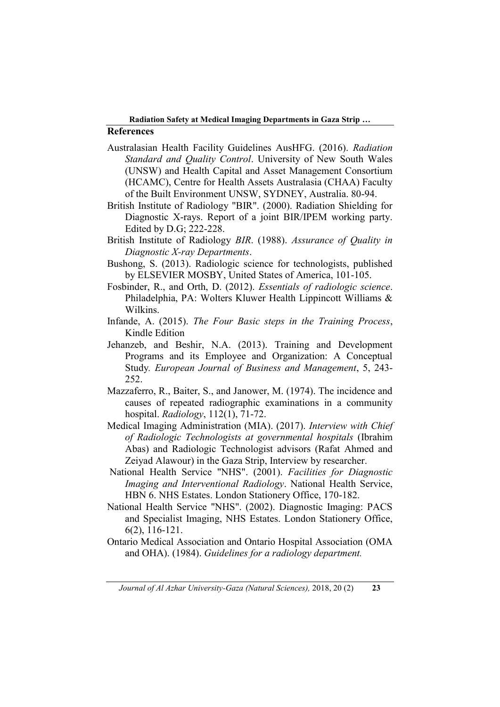# **References**

- Australasian Health Facility Guidelines AusHFG. (2016). *Radiation Standard and Quality Control*. University of New South Wales (UNSW) and Health Capital and Asset Management Consortium (HCAMC), Centre for Health Assets Australasia (CHAA) Faculty of the Built Environment UNSW, SYDNEY, Australia. 80-94.
- British Institute of Radiology "BIR". (2000). Radiation Shielding for Diagnostic X-rays. Report of a joint BIR/IPEM working party. Edited by D.G; 222-228.
- British Institute of Radiology *BIR*. (1988). *Assurance of Quality in Diagnostic X-ray Departments*.
- Bushong, S. (2013). Radiologic science for technologists, published by ELSEVIER MOSBY, United States of America, 101-105.
- Fosbinder, R., and Orth, D. (2012). *Essentials of radiologic science*. Philadelphia, PA: Wolters Kluwer Health Lippincott Williams & Wilkins.
- Infande, A. (2015). *The Four Basic steps in the Training Process*, Kindle Edition
- Jehanzeb, and Beshir, N.A. (2013). Training and Development Programs and its Employee and Organization: A Conceptual Study*. European Journal of Business and Management*, 5, 243- 252.
- Mazzaferro, R., Baiter, S., and Janower, M. (1974). The incidence and causes of repeated radiographic examinations in a community hospital. *Radiology*, 112(1), 71-72.
- Medical Imaging Administration (MIA). (2017). *Interview with Chief of Radiologic Technologists at governmental hospitals* (Ibrahim Abas) and Radiologic Technologist advisors (Rafat Ahmed and Zeiyad Alawour) in the Gaza Strip, Interview by researcher.
- National Health Service "NHS". (2001). *Facilities for Diagnostic Imaging and Interventional Radiology*. National Health Service, HBN 6. NHS Estates. London Stationery Office, 170-182.
- National Health Service "NHS". (2002). Diagnostic Imaging: PACS and Specialist Imaging, NHS Estates. London Stationery Office, 6(2), 116-121.
- Ontario Medical Association and Ontario Hospital Association (OMA and OHA). (1984). *Guidelines for a radiology department.*